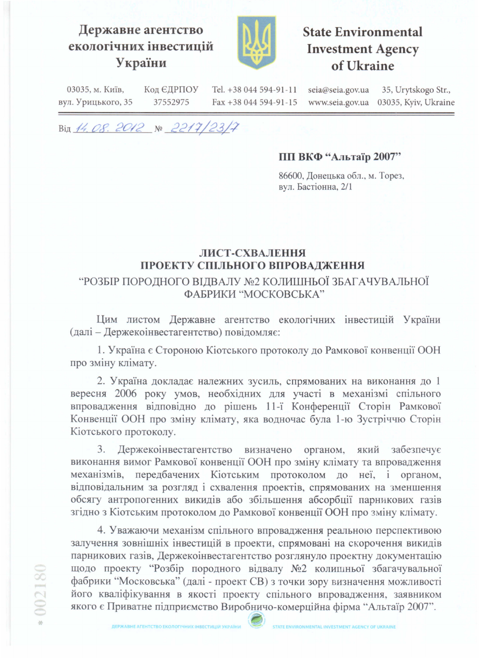## Державне агентство екологічних інвестицій України



# **State Environmental Investment Agency** of Ukraine

35, Urytskogo Str.,

Код ЄДРПОУ 03035, м. Київ, Tel. +38 044 594-91-11 seia@seia.gov.ua www.seia.gov.ua 03035, Kyiv, Ukraine вул. Урицького, 35 37552975 Fax +38 044 594-91-15

Від 14.08.2012 № 2217/23/7

#### ПП ВКФ "Альтаїр 2007"

86600, Донецька обл., м. Торез, вул. Бастіонна, 2/1

#### ЛИСТ-СХВАЛЕННЯ ПРОЕКТУ СПІЛЬНОГО ВПРОВАДЖЕННЯ

### "РОЗБІР ПОРОДНОГО ВІДВАЛУ №2 КОЛИШНЬОЇ ЗБАГАЧУВАЛЬНОЇ ФАБРИКИ "МОСКОВСЬКА"

Цим листом Державне агентство екологічних інвестицій України (далі - Держекоінвестагентство) повідомляє:

1. Україна є Стороною Кіотського протоколу до Рамкової конвенції ООН про зміну клімату.

2. Україна докладає належних зусиль, спрямованих на виконання до 1 вересня 2006 року умов, необхідних для участі в механізмі спільного впровадження відповідно до рішень 11-ї Конференції Сторін Рамкової Конвенції ООН про зміну клімату, яка водночас була 1-ю Зустріччю Сторін Кіотського протоколу.

3. Держекоінвестагентство визначено органом, який забезпечує виконання вимог Рамкової конвенції ООН про зміну клімату та впровадження механізмів, передбачених Кіотським протоколом до неї, і органом, відповідальним за розгляд і схвалення проектів, спрямованих на зменшення обсягу антропогенних викидів або збільшення абсорбції парникових газів згідно з Кіотським протоколом до Рамкової конвенції ООН про зміну клімату.

4. Уважаючи механізм спільного впровадження реальною перспективою залучення зовнішніх інвестицій в проекти, спрямовані на скорочення викидів парникових газів, Держекоінвестагентство розглянуло проектну документацію щодо проекту "Розбір породного відвалу №2 колишньої збагачувальної фабрики "Московська" (далі - проект СВ) з точки зору визначення можливості його кваліфікування в якості проекту спільного впровадження, заявником якого є Приватне підприємство Виробничо-комерційна фірма "Альтаїр 2007".